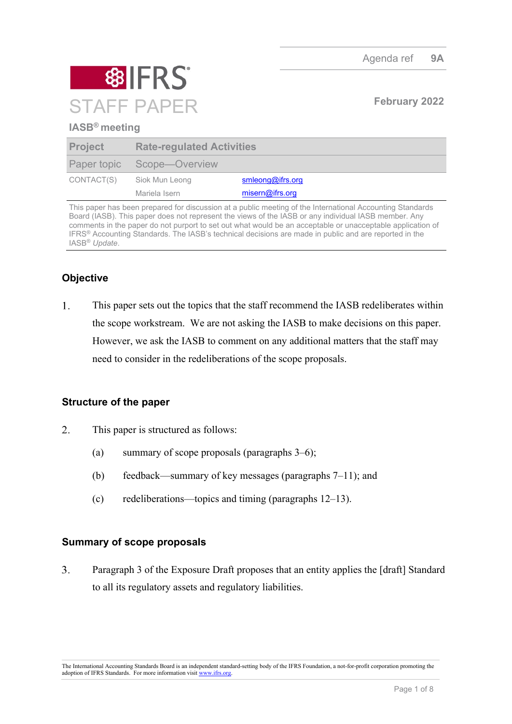

### **IASB® meeting**

| <b>Project</b> | <b>Rate-regulated Activities</b> |                  |
|----------------|----------------------------------|------------------|
|                | Paper topic Scope—Overview       |                  |
| CONTACT(S)     | Siok Mun Leong                   | smleong@ifrs.org |
|                | Mariela Isern                    | misern@ifrs.org  |

This paper has been prepared for discussion at a public meeting of the International Accounting Standards Board (IASB). This paper does not represent the views of the IASB or any individual IASB member. Any comments in the paper do not purport to set out what would be an acceptable or unacceptable application of IFRS® Accounting Standards. The IASB's technical decisions are made in public and are reported in the IASB® *Update*.

# **Objective**

 $1.$ This paper sets out the topics that the staff recommend the IASB redeliberates within the scope workstream. We are not asking the IASB to make decisions on this paper. However, we ask the IASB to comment on any additional matters that the staff may need to consider in the redeliberations of the scope proposals.

## **Structure of the paper**

- $\overline{2}$ . This paper is structured as follows:
	- (a) summary of scope proposals (paragraphs [3](#page-0-0)[–6\)](#page-1-0);
	- (b) feedback—summary of key messages (paragraphs [7](#page-1-1)[–11\)](#page-3-0); and
	- (c) redeliberations—topics and timing (paragraphs [12](#page-3-1)[–13\)](#page-6-0).

#### **Summary of scope proposals**

<span id="page-0-0"></span> $\overline{3}$ . Paragraph 3 of the Exposure Draft proposes that an entity applies the [draft] Standard to all its regulatory assets and regulatory liabilities.

The International Accounting Standards Board is an independent standard-setting body of the IFRS Foundation, a not-for-profit corporation promoting the adoption of IFRS Standards. For more information visit [www.ifrs.org.](http://www.ifrs.org/)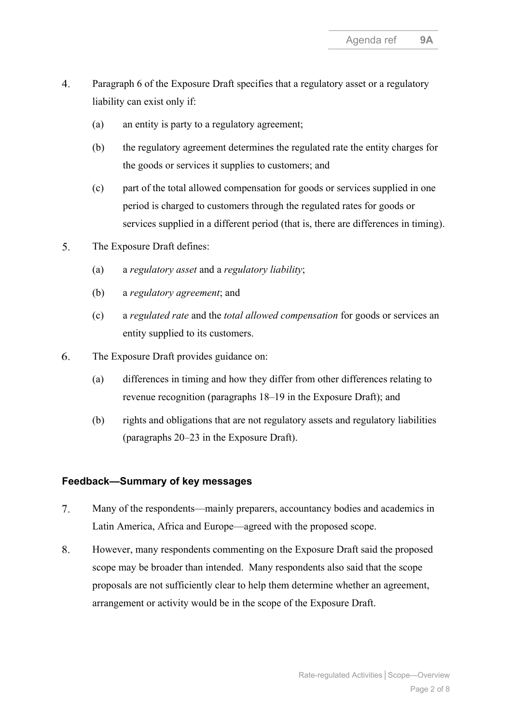- $\overline{4}$ . Paragraph 6 of the Exposure Draft specifies that a regulatory asset or a regulatory liability can exist only if:
	- (a) an entity is party to a regulatory agreement;
	- (b) the regulatory agreement determines the regulated rate the entity charges for the goods or services it supplies to customers; and
	- (c) part of the total allowed compensation for goods or services supplied in one period is charged to customers through the regulated rates for goods or services supplied in a different period (that is, there are differences in timing).
- 5. The Exposure Draft defines:
	- (a) a *regulatory asset* and a *regulatory liability*;
	- (b) a *regulatory agreement*; and
	- (c) a *regulated rate* and the *total allowed compensation* for goods or services an entity supplied to its customers.
- <span id="page-1-0"></span>6. The Exposure Draft provides guidance on:
	- (a) differences in timing and how they differ from other differences relating to revenue recognition (paragraphs 18–19 in the Exposure Draft); and
	- (b) rights and obligations that are not regulatory assets and regulatory liabilities (paragraphs 20–23 in the Exposure Draft).

#### **Feedback—Summary of key messages**

- <span id="page-1-1"></span> $7.$ Many of the respondents—mainly preparers, accountancy bodies and academics in Latin America, Africa and Europe—agreed with the proposed scope.
- 8. However, many respondents commenting on the Exposure Draft said the proposed scope may be broader than intended. Many respondents also said that the scope proposals are not sufficiently clear to help them determine whether an agreement, arrangement or activity would be in the scope of the Exposure Draft.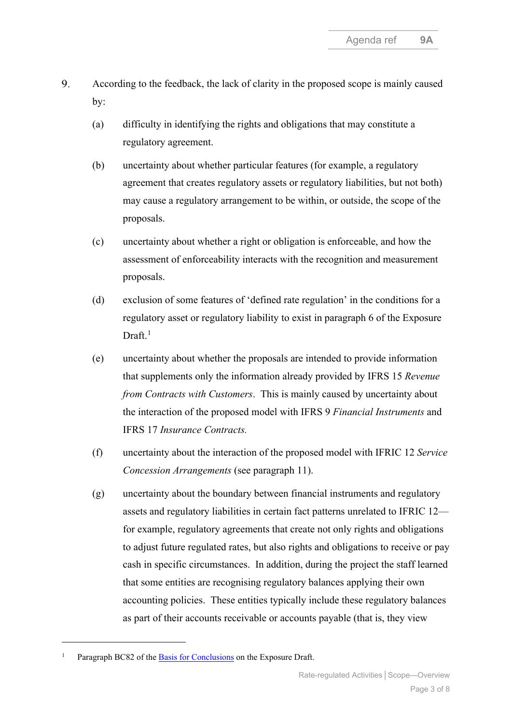- <span id="page-2-7"></span><span id="page-2-6"></span><span id="page-2-5"></span><span id="page-2-4"></span><span id="page-2-3"></span><span id="page-2-2"></span><span id="page-2-1"></span>9. According to the feedback, the lack of clarity in the proposed scope is mainly caused by:
	- (a) difficulty in identifying the rights and obligations that may constitute a regulatory agreement.
	- (b) uncertainty about whether particular features (for example, a regulatory agreement that creates regulatory assets or regulatory liabilities, but not both) may cause a regulatory arrangement to be within, or outside, the scope of the proposals.
	- (c) uncertainty about whether a right or obligation is enforceable, and how the assessment of enforceability interacts with the recognition and measurement proposals.
	- (d) exclusion of some features of 'defined rate regulation' in the conditions for a regulatory asset or regulatory liability to exist in paragraph 6 of the Exposure Draft.<sup>[1](#page-2-0)</sup>
	- (e) uncertainty about whether the proposals are intended to provide information that supplements only the information already provided by IFRS 15 *Revenue from Contracts with Customers*. This is mainly caused by uncertainty about the interaction of the proposed model with IFRS 9 *Financial Instruments* and IFRS 17 *Insurance Contracts.*
	- (f) uncertainty about the interaction of the proposed model with IFRIC 12 *Service Concession Arrangements* (see paragraph [11\)](#page-3-0).
	- (g) uncertainty about the boundary between financial instruments and regulatory assets and regulatory liabilities in certain fact patterns unrelated to IFRIC 12 for example, regulatory agreements that create not only rights and obligations to adjust future regulated rates, but also rights and obligations to receive or pay cash in specific circumstances. In addition, during the project the staff learned that some entities are recognising regulatory balances applying their own accounting policies. These entities typically include these regulatory balances as part of their accounts receivable or accounts payable (that is, they view

<span id="page-2-0"></span>Paragraph BC82 of the [Basis for Conclusions](https://www.ifrs.org/content/dam/ifrs/project/rate-regulated-activities/published-documents/ed2021-rra-bc.pdf) on the Exposure Draft.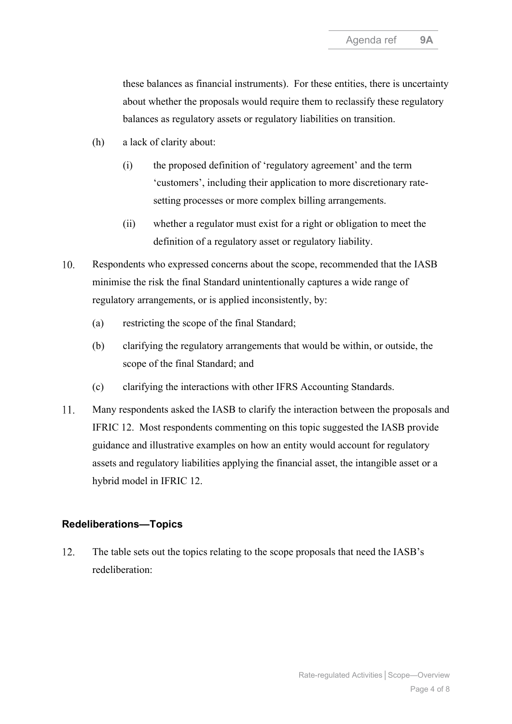<span id="page-3-6"></span><span id="page-3-5"></span><span id="page-3-4"></span>these balances as financial instruments). For these entities, there is uncertainty about whether the proposals would require them to reclassify these regulatory balances as regulatory assets or regulatory liabilities on transition.

- <span id="page-3-7"></span><span id="page-3-3"></span><span id="page-3-2"></span>(h) a lack of clarity about:
	- (i) the proposed definition of 'regulatory agreement' and the term 'customers', including their application to more discretionary ratesetting processes or more complex billing arrangements.
	- (ii) whether a regulator must exist for a right or obligation to meet the definition of a regulatory asset or regulatory liability.
- 10. Respondents who expressed concerns about the scope, recommended that the IASB minimise the risk the final Standard unintentionally captures a wide range of regulatory arrangements, or is applied inconsistently, by:
	- (a) restricting the scope of the final Standard;
	- (b) clarifying the regulatory arrangements that would be within, or outside, the scope of the final Standard; and
	- (c) clarifying the interactions with other IFRS Accounting Standards.
- <span id="page-3-0"></span> $11.$ Many respondents asked the IASB to clarify the interaction between the proposals and IFRIC 12. Most respondents commenting on this topic suggested the IASB provide guidance and illustrative examples on how an entity would account for regulatory assets and regulatory liabilities applying the financial asset, the intangible asset or a hybrid model in IFRIC 12.

#### **Redeliberations—Topics**

<span id="page-3-1"></span> $12.$ The table sets out the topics relating to the scope proposals that need the IASB's redeliberation: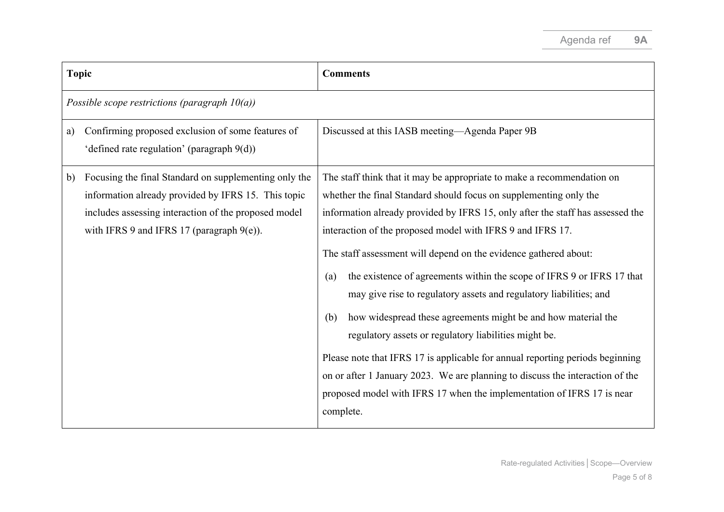| <b>Topic</b> |                                                                                                                                                                                                                      | <b>Comments</b>                                                                                                                                                                                                                                                                                                                                                                                                                                                                                                                                                                                                                                                                                                                                                                                                                                                                                                  |
|--------------|----------------------------------------------------------------------------------------------------------------------------------------------------------------------------------------------------------------------|------------------------------------------------------------------------------------------------------------------------------------------------------------------------------------------------------------------------------------------------------------------------------------------------------------------------------------------------------------------------------------------------------------------------------------------------------------------------------------------------------------------------------------------------------------------------------------------------------------------------------------------------------------------------------------------------------------------------------------------------------------------------------------------------------------------------------------------------------------------------------------------------------------------|
|              | Possible scope restrictions (paragraph $10(a)$ )                                                                                                                                                                     |                                                                                                                                                                                                                                                                                                                                                                                                                                                                                                                                                                                                                                                                                                                                                                                                                                                                                                                  |
| a)           | Confirming proposed exclusion of some features of<br>'defined rate regulation' (paragraph 9(d))                                                                                                                      | Discussed at this IASB meeting—Agenda Paper 9B                                                                                                                                                                                                                                                                                                                                                                                                                                                                                                                                                                                                                                                                                                                                                                                                                                                                   |
| b)           | Focusing the final Standard on supplementing only the<br>information already provided by IFRS 15. This topic<br>includes assessing interaction of the proposed model<br>with IFRS 9 and IFRS 17 (paragraph $9(e)$ ). | The staff think that it may be appropriate to make a recommendation on<br>whether the final Standard should focus on supplementing only the<br>information already provided by IFRS 15, only after the staff has assessed the<br>interaction of the proposed model with IFRS 9 and IFRS 17.<br>The staff assessment will depend on the evidence gathered about:<br>the existence of agreements within the scope of IFRS 9 or IFRS 17 that<br>(a)<br>may give rise to regulatory assets and regulatory liabilities; and<br>how widespread these agreements might be and how material the<br>(b)<br>regulatory assets or regulatory liabilities might be.<br>Please note that IFRS 17 is applicable for annual reporting periods beginning<br>on or after 1 January 2023. We are planning to discuss the interaction of the<br>proposed model with IFRS 17 when the implementation of IFRS 17 is near<br>complete. |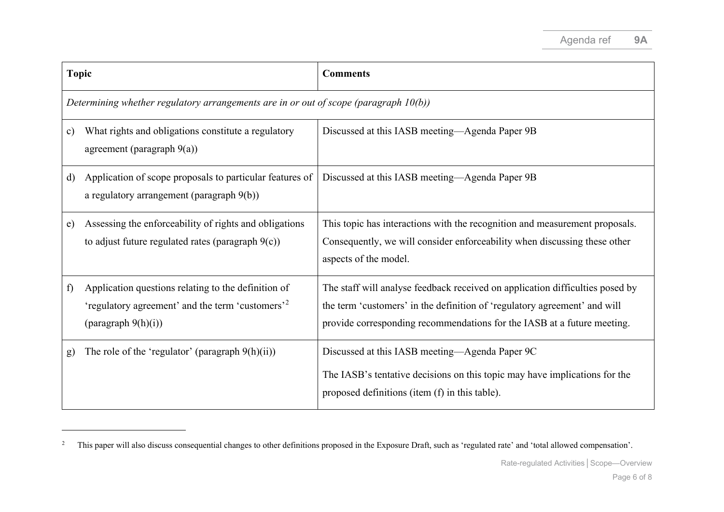<span id="page-5-0"></span>

| <b>Topic</b>                                                                            |                                                                                                                                                   | <b>Comments</b>                                                                                                                                                                                                                       |  |  |
|-----------------------------------------------------------------------------------------|---------------------------------------------------------------------------------------------------------------------------------------------------|---------------------------------------------------------------------------------------------------------------------------------------------------------------------------------------------------------------------------------------|--|--|
| Determining whether regulatory arrangements are in or out of scope (paragraph $10(b)$ ) |                                                                                                                                                   |                                                                                                                                                                                                                                       |  |  |
| $\mathbf{c})$                                                                           | What rights and obligations constitute a regulatory<br>agreement (paragraph $9(a)$ )                                                              | Discussed at this IASB meeting—Agenda Paper 9B                                                                                                                                                                                        |  |  |
| d)                                                                                      | Application of scope proposals to particular features of<br>a regulatory arrangement (paragraph 9(b))                                             | Discussed at this IASB meeting—Agenda Paper 9B                                                                                                                                                                                        |  |  |
| e)                                                                                      | Assessing the enforceability of rights and obligations<br>to adjust future regulated rates (paragraph $9(c)$ )                                    | This topic has interactions with the recognition and measurement proposals.<br>Consequently, we will consider enforceability when discussing these other<br>aspects of the model.                                                     |  |  |
| f)                                                                                      | Application questions relating to the definition of<br>'regulatory agreement' and the term 'customers' <sup>2</sup><br>${\rm (pargraph 9(h)(i))}$ | The staff will analyse feedback received on application difficulties posed by<br>the term 'customers' in the definition of 'regulatory agreement' and will<br>provide corresponding recommendations for the IASB at a future meeting. |  |  |
| g)                                                                                      | The role of the 'regulator' (paragraph $9(h)(ii)$ )                                                                                               | Discussed at this IASB meeting—Agenda Paper 9C<br>The IASB's tentative decisions on this topic may have implications for the<br>proposed definitions (item (f) in this table).                                                        |  |  |

<sup>&</sup>lt;sup>2</sup> This paper will also discuss consequential changes to other definitions proposed in the Exposure Draft, such as 'regulated rate' and 'total allowed compensation'.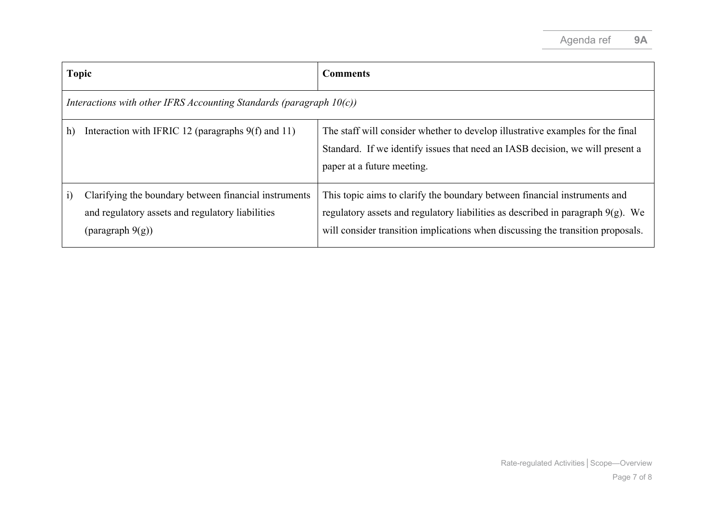<span id="page-6-0"></span>

| <b>Topic</b>                                                           |                                                                                                                                  | <b>Comments</b>                                                                                                                                                                                                                                    |  |  |
|------------------------------------------------------------------------|----------------------------------------------------------------------------------------------------------------------------------|----------------------------------------------------------------------------------------------------------------------------------------------------------------------------------------------------------------------------------------------------|--|--|
| Interactions with other IFRS Accounting Standards (paragraph $10(c)$ ) |                                                                                                                                  |                                                                                                                                                                                                                                                    |  |  |
| h)                                                                     | Interaction with IFRIC 12 (paragraphs $9(f)$ and 11)                                                                             | The staff will consider whether to develop illustrative examples for the final<br>Standard. If we identify issues that need an IASB decision, we will present a<br>paper at a future meeting.                                                      |  |  |
| $\ddot{1}$                                                             | Clarifying the boundary between financial instruments<br>and regulatory assets and regulatory liabilities<br>(paragraph $9(g)$ ) | This topic aims to clarify the boundary between financial instruments and<br>regulatory assets and regulatory liabilities as described in paragraph $9(g)$ . We<br>will consider transition implications when discussing the transition proposals. |  |  |